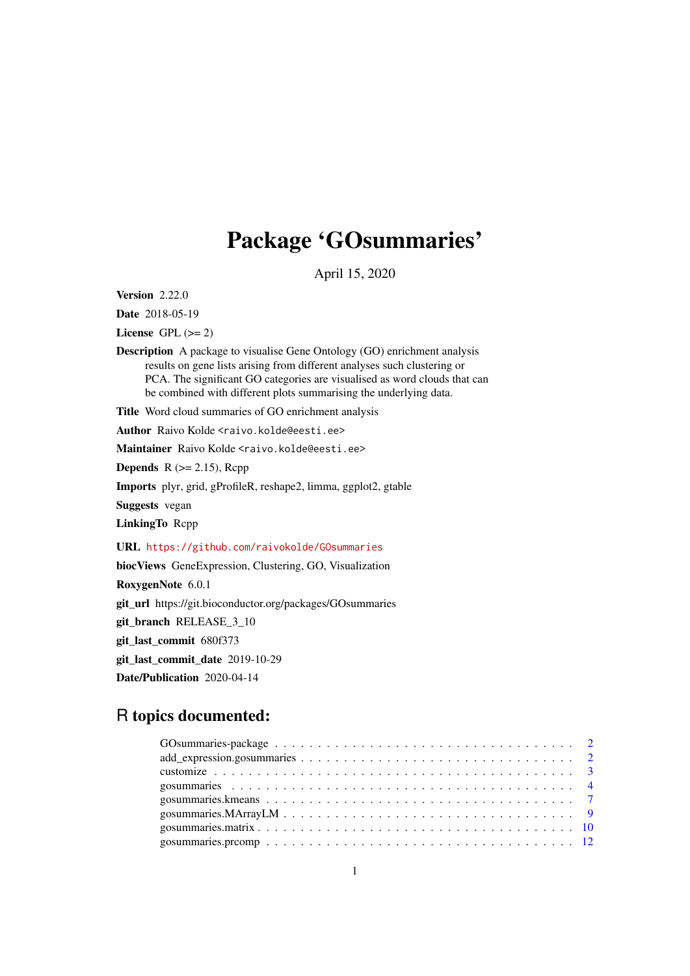## Package 'GOsummaries'

April 15, 2020

<span id="page-0-0"></span>Version 2.22.0

Date 2018-05-19

License GPL  $(>= 2)$ 

Description A package to visualise Gene Ontology (GO) enrichment analysis results on gene lists arising from different analyses such clustering or PCA. The significant GO categories are visualised as word clouds that can be combined with different plots summarising the underlying data.

Title Word cloud summaries of GO enrichment analysis

Author Raivo Kolde <raivo.kolde@eesti.ee>

Maintainer Raivo Kolde <raivo.kolde@eesti.ee>

**Depends** R  $(>= 2.15)$ , Rcpp

Imports plyr, grid, gProfileR, reshape2, limma, ggplot2, gtable

Suggests vegan

LinkingTo Rcpp

URL <https://github.com/raivokolde/GOsummaries>

biocViews GeneExpression, Clustering, GO, Visualization

RoxygenNote 6.0.1

git\_url https://git.bioconductor.org/packages/GOsummaries

git\_branch RELEASE\_3\_10

git\_last\_commit 680f373

git\_last\_commit\_date 2019-10-29

Date/Publication 2020-04-14

## R topics documented: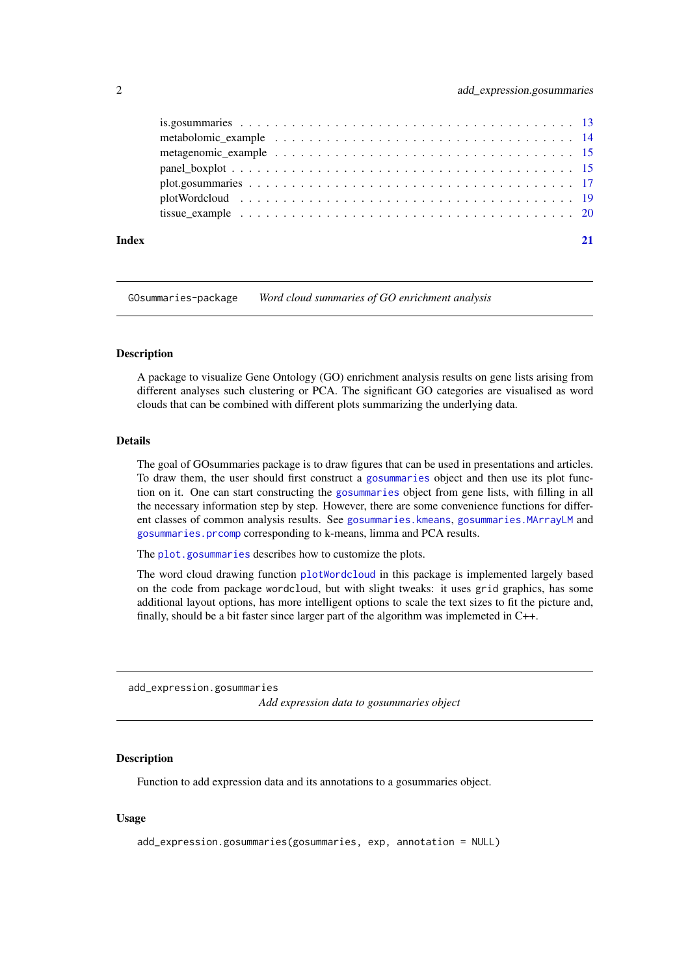<span id="page-1-0"></span>

| $plotWordcloud \dots \dots \dots \dots \dots \dots \dots \dots \dots \dots \dots \dots \dots \dots \dots \dots \dots \dots$ |  |
|-----------------------------------------------------------------------------------------------------------------------------|--|
|                                                                                                                             |  |
|                                                                                                                             |  |

GOsummaries-package *Word cloud summaries of GO enrichment analysis*

#### Description

A package to visualize Gene Ontology (GO) enrichment analysis results on gene lists arising from different analyses such clustering or PCA. The significant GO categories are visualised as word clouds that can be combined with different plots summarizing the underlying data.

### Details

The goal of GOsummaries package is to draw figures that can be used in presentations and articles. To draw them, the user should first construct a [gosummaries](#page-3-1) object and then use its plot function on it. One can start constructing the [gosummaries](#page-3-1) object from gene lists, with filling in all the necessary information step by step. However, there are some convenience functions for different classes of common analysis results. See [gosummaries.kmeans](#page-6-1), [gosummaries.MArrayLM](#page-8-1) and [gosummaries.prcomp](#page-11-1) corresponding to k-means, limma and PCA results.

The [plot.gosummaries](#page-16-1) describes how to customize the plots.

The word cloud drawing function [plotWordcloud](#page-18-1) in this package is implemented largely based on the code from package wordcloud, but with slight tweaks: it uses grid graphics, has some additional layout options, has more intelligent options to scale the text sizes to fit the picture and, finally, should be a bit faster since larger part of the algorithm was implemeted in C++.

<span id="page-1-1"></span>add\_expression.gosummaries

*Add expression data to gosummaries object*

## Description

Function to add expression data and its annotations to a gosummaries object.

```
add_expression.gosummaries(gosummaries, exp, annotation = NULL)
```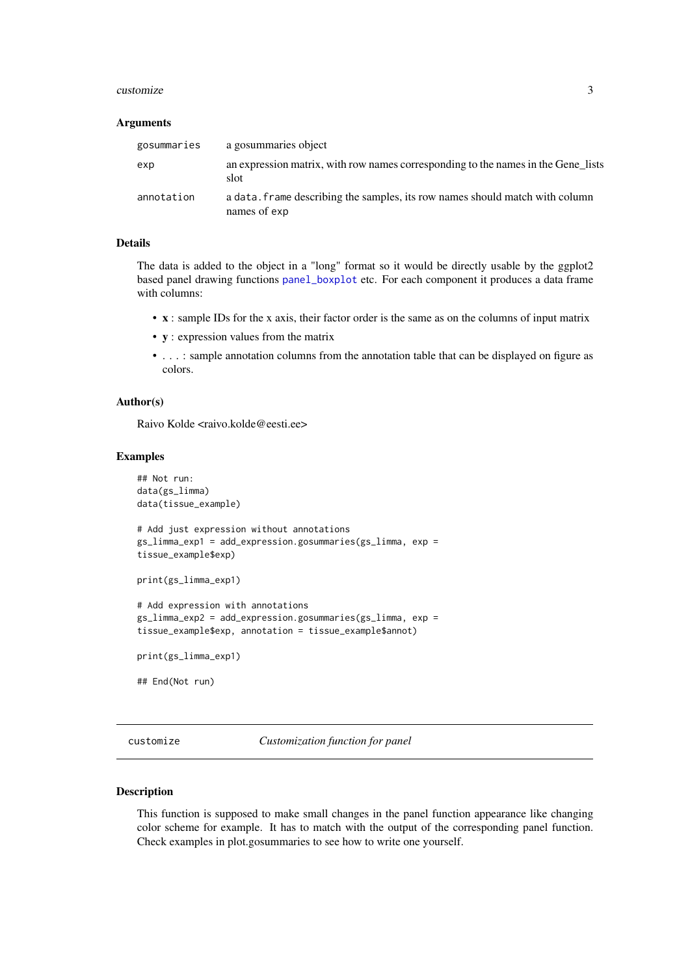#### <span id="page-2-0"></span>customize 3

#### Arguments

| gosummaries | a gosummaries object                                                                         |
|-------------|----------------------------------------------------------------------------------------------|
| exp         | an expression matrix, with row names corresponding to the names in the Gene lists<br>slot    |
| annotation  | a data, frame describing the samples, its row names should match with column<br>names of exp |

#### Details

The data is added to the object in a "long" format so it would be directly usable by the ggplot2 based panel drawing functions [panel\\_boxplot](#page-14-1) etc. For each component it produces a data frame with columns:

- x : sample IDs for the x axis, their factor order is the same as on the columns of input matrix
- y : expression values from the matrix
- . . . : sample annotation columns from the annotation table that can be displayed on figure as colors.

#### Author(s)

Raivo Kolde <raivo.kolde@eesti.ee>

#### Examples

```
## Not run:
data(gs_limma)
data(tissue_example)
# Add just expression without annotations
gs_limma_exp1 = add_expression.gosummaries(gs_limma, exp =
tissue_example$exp)
print(gs_limma_exp1)
# Add expression with annotations
gs_limma_exp2 = add_expression.gosummaries(gs_limma, exp =
tissue_example$exp, annotation = tissue_example$annot)
print(gs_limma_exp1)
## End(Not run)
```
<span id="page-2-1"></span>customize *Customization function for panel*

## Description

This function is supposed to make small changes in the panel function appearance like changing color scheme for example. It has to match with the output of the corresponding panel function. Check examples in plot.gosummaries to see how to write one yourself.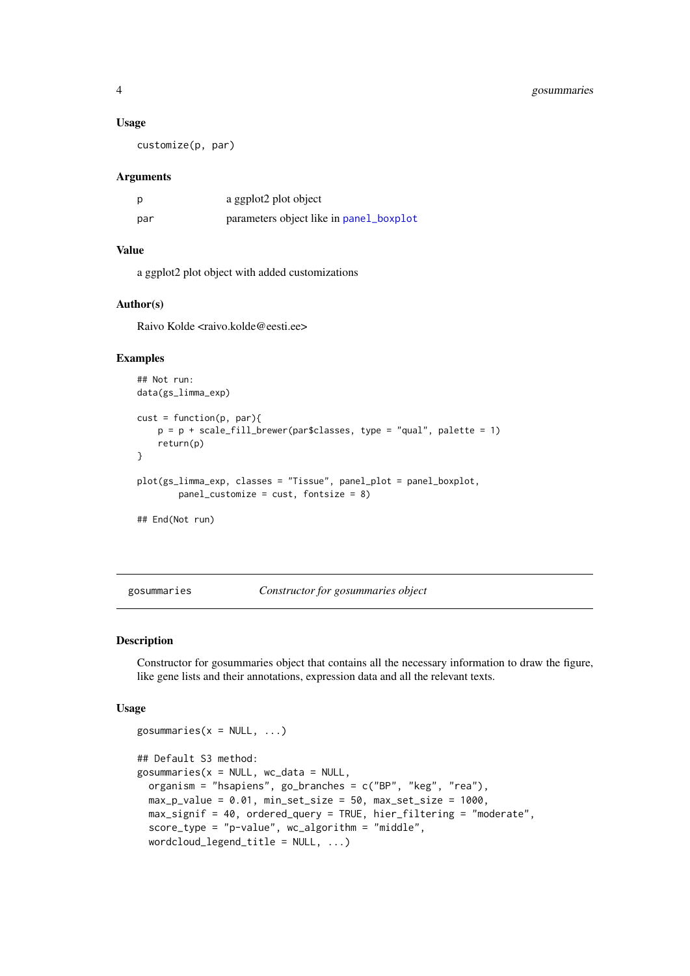#### Usage

customize(p, par)

#### Arguments

| p   | a ggplot2 plot object                   |
|-----|-----------------------------------------|
| par | parameters object like in panel_boxplot |

## Value

a ggplot2 plot object with added customizations

#### Author(s)

Raivo Kolde <raivo.kolde@eesti.ee>

#### Examples

```
## Not run:
data(gs_limma_exp)
cust = function(p, par){
   p = p + scale_fill_brewer(par$classes, type = "qual", platete = 1)return(p)
}
plot(gs_limma_exp, classes = "Tissue", panel_plot = panel_boxplot,
        panel_customize = cust, fontsize = 8)
## End(Not run)
```
<span id="page-3-1"></span>gosummaries *Constructor for gosummaries object*

## <span id="page-3-2"></span>Description

Constructor for gosummaries object that contains all the necessary information to draw the figure, like gene lists and their annotations, expression data and all the relevant texts.

```
gosummaries(x = NULL, ...)
## Default S3 method:
gosummaries(x = NULL, wc_data = NULL,
 organism = "hsapiens", go_branches = c("BP", "keg", "rea"),
 max_p_value = 0.01, min_set_size = 50, max_set_size = 1000,
 max_signif = 40, ordered_query = TRUE, hier_filtering = "moderate",
 score_type = "p-value", wc_algorithm = "middle",
 wordcloud_legend_title = NULL, ...)
```
<span id="page-3-0"></span>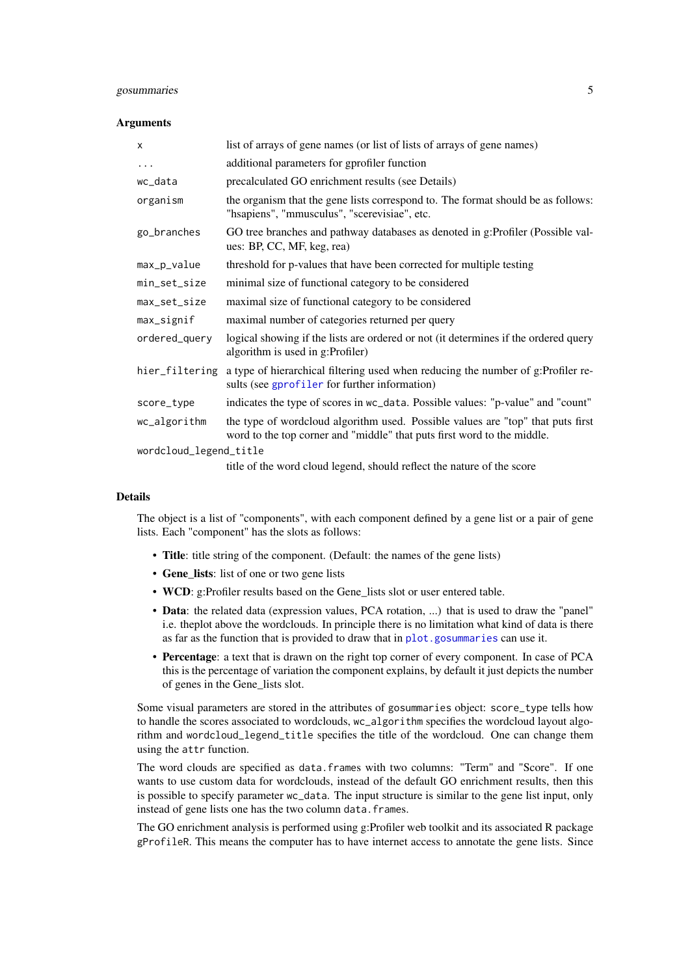#### <span id="page-4-0"></span>gosummaries 5

#### Arguments

| $\boldsymbol{\mathsf{x}}$ | list of arrays of gene names (or list of lists of arrays of gene names)                                                                                    |
|---------------------------|------------------------------------------------------------------------------------------------------------------------------------------------------------|
| $\cdots$                  | additional parameters for gprofiler function                                                                                                               |
| wc_data                   | precalculated GO enrichment results (see Details)                                                                                                          |
| organism                  | the organism that the gene lists correspond to. The format should be as follows:<br>"hsapiens", "mmusculus", "scerevisiae", etc.                           |
| go_branches               | GO tree branches and pathway databases as denoted in g:Profiler (Possible val-<br>ues: BP, CC, MF, keg, rea)                                               |
| max_p_value               | threshold for p-values that have been corrected for multiple testing                                                                                       |
| min_set_size              | minimal size of functional category to be considered                                                                                                       |
| max_set_size              | maximal size of functional category to be considered                                                                                                       |
| max_signif                | maximal number of categories returned per query                                                                                                            |
| ordered_query             | logical showing if the lists are ordered or not (it determines if the ordered query<br>algorithm is used in g:Profiler)                                    |
| hier_filtering            | a type of hierarchical filtering used when reducing the number of g:Profiler re-<br>sults (see gprofiler for further information)                          |
| score_type                | indicates the type of scores in wc_data. Possible values: "p-value" and "count"                                                                            |
| wc_algorithm              | the type of wordcloud algorithm used. Possible values are "top" that puts first<br>word to the top corner and "middle" that puts first word to the middle. |
| wordcloud_legend_title    |                                                                                                                                                            |

title of the word cloud legend, should reflect the nature of the score

#### Details

The object is a list of "components", with each component defined by a gene list or a pair of gene lists. Each "component" has the slots as follows:

- Title: title string of the component. (Default: the names of the gene lists)
- Gene\_lists: list of one or two gene lists
- WCD: g:Profiler results based on the Gene lists slot or user entered table.
- Data: the related data (expression values, PCA rotation, ...) that is used to draw the "panel" i.e. theplot above the wordclouds. In principle there is no limitation what kind of data is there as far as the function that is provided to draw that in [plot.gosummaries](#page-16-1) can use it.
- Percentage: a text that is drawn on the right top corner of every component. In case of PCA this is the percentage of variation the component explains, by default it just depicts the number of genes in the Gene\_lists slot.

Some visual parameters are stored in the attributes of gosummaries object: score\_type tells how to handle the scores associated to wordclouds, wc\_algorithm specifies the wordcloud layout algorithm and wordcloud\_legend\_title specifies the title of the wordcloud. One can change them using the attr function.

The word clouds are specified as data.frames with two columns: "Term" and "Score". If one wants to use custom data for wordclouds, instead of the default GO enrichment results, then this is possible to specify parameter wc\_data. The input structure is similar to the gene list input, only instead of gene lists one has the two column data.frames.

The GO enrichment analysis is performed using g:Profiler web toolkit and its associated R package gProfileR. This means the computer has to have internet access to annotate the gene lists. Since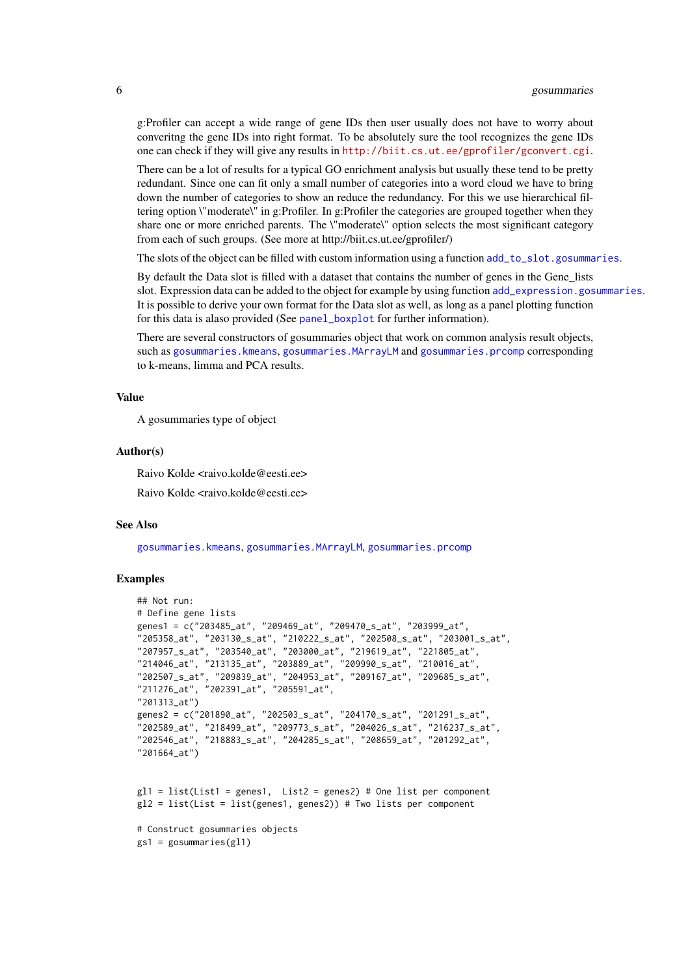g:Profiler can accept a wide range of gene IDs then user usually does not have to worry about converitng the gene IDs into right format. To be absolutely sure the tool recognizes the gene IDs one can check if they will give any results in <http://biit.cs.ut.ee/gprofiler/gconvert.cgi>.

There can be a lot of results for a typical GO enrichment analysis but usually these tend to be pretty redundant. Since one can fit only a small number of categories into a word cloud we have to bring down the number of categories to show an reduce the redundancy. For this we use hierarchical filtering option \"moderate\" in g:Profiler. In g:Profiler the categories are grouped together when they share one or more enriched parents. The \"moderate\" option selects the most significant category from each of such groups. (See more at http://biit.cs.ut.ee/gprofiler/)

The slots of the object can be filled with custom information using a function [add\\_to\\_slot.gosummaries](#page-12-1).

By default the Data slot is filled with a dataset that contains the number of genes in the Gene lists slot. Expression data can be added to the object for example by using function [add\\_expression.gosummaries](#page-1-1). It is possible to derive your own format for the Data slot as well, as long as a panel plotting function for this data is alaso provided (See [panel\\_boxplot](#page-14-1) for further information).

There are several constructors of gosummaries object that work on common analysis result objects, such as [gosummaries.kmeans](#page-6-1), [gosummaries.MArrayLM](#page-8-1) and [gosummaries.prcomp](#page-11-1) corresponding to k-means, limma and PCA results.

#### Value

A gosummaries type of object

#### Author(s)

Raivo Kolde <raivo.kolde@eesti.ee>

Raivo Kolde <raivo.kolde@eesti.ee>

## See Also

[gosummaries.kmeans](#page-6-1), [gosummaries.MArrayLM](#page-8-1), [gosummaries.prcomp](#page-11-1)

## Examples

```
## Not run:
# Define gene lists
genes1 = c("203485_at", "209469_at", "209470_s_at", "203999_at",
"205358_at", "203130_s_at", "210222_s_at", "202508_s_at", "203001_s_at",
"207957_s_at", "203540_at", "203000_at", "219619_at", "221805_at",
"214046_at", "213135_at", "203889_at", "209990_s_at", "210016_at",
"202507_s_at", "209839_at", "204953_at", "209167_at", "209685_s_at",
"211276_at", "202391_at", "205591_at",
"201313_at")
genes2 = c("201890_at", "202503_s_at", "204170_s_at", "201291_s_at",
"202589_at", "218499_at", "209773_s_at", "204026_s_at", "216237_s_at",
"202546_at", "218883_s_at", "204285_s_at", "208659_at", "201292_at",
"201664_at")
g11 = list(List1 = genes1, List2 = genes2) # One list per componentg12 = list(List = list(genes1, genes2)) # Two lists per component# Construct gosummaries objects
```

```
gs1 = gosummaries(gl1)
```
<span id="page-5-0"></span>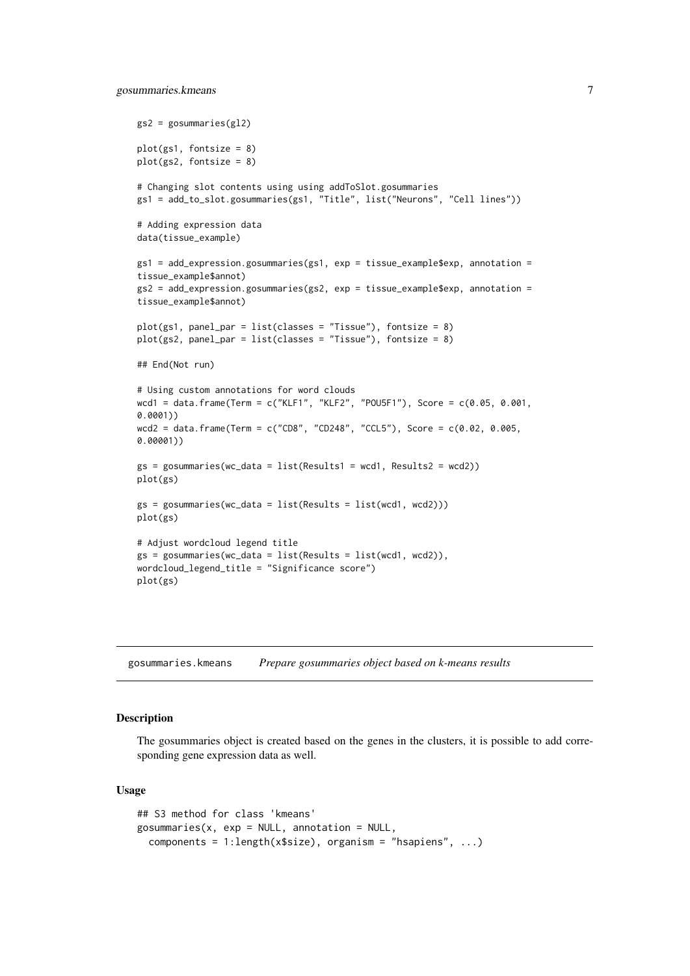```
gs2 = gosummaries(gl2)plot(gs1, fontsize = 8)
plot(gs2, fontsize = 8)
# Changing slot contents using using addToSlot.gosummaries
gs1 = add_to_slot.gosummaries(gs1, "Title", list("Neurons", "Cell lines"))
# Adding expression data
data(tissue_example)
gs1 = add\_expression.gosummaries(gs1, exp = tissue\_example$exp, annotation =tissue_example$annot)
gs2 = add\_expression.gosummaries(gs2, exp = tissue\_example$exp, annotation =
tissue_example$annot)
plot(gs1, panel_par = list(classes = "Tissue"), fontsize = 8)
plot(gs2, panel\_par = list(classes = "Tissue"), fontsize = 8)## End(Not run)
# Using custom annotations for word clouds
wcd1 = data.frame(Term = c("KLF1", "KLF2", "POU5F1"), Score = c(0.05, 0.001,
0.0001))
wcd2 = data.frame(Term = c("CD8", "CD248", "CCL5"), Score = c(0.02, 0.005,
0.00001))
gs = gosummaries(wc_data = list(Results1 = wcd1, Results2 = wcd2))
plot(gs)
gs = gosummaries(wc_data = list(Results = list(wcd1, wcd2)))plot(gs)
# Adjust wordcloud legend title
gs = gosummaries(wc_data = list(Results = list(wcd1, wcd2)),
wordcloud_legend_title = "Significance score")
plot(gs)
```
<span id="page-6-1"></span>gosummaries.kmeans *Prepare gosummaries object based on k-means results*

#### **Description**

The gosummaries object is created based on the genes in the clusters, it is possible to add corresponding gene expression data as well.

```
## S3 method for class 'kmeans'
gosummaries(x, exp = NULL, annotation = NULL,
  components = 1:length(x$size), organism = "hsapiens", ...)
```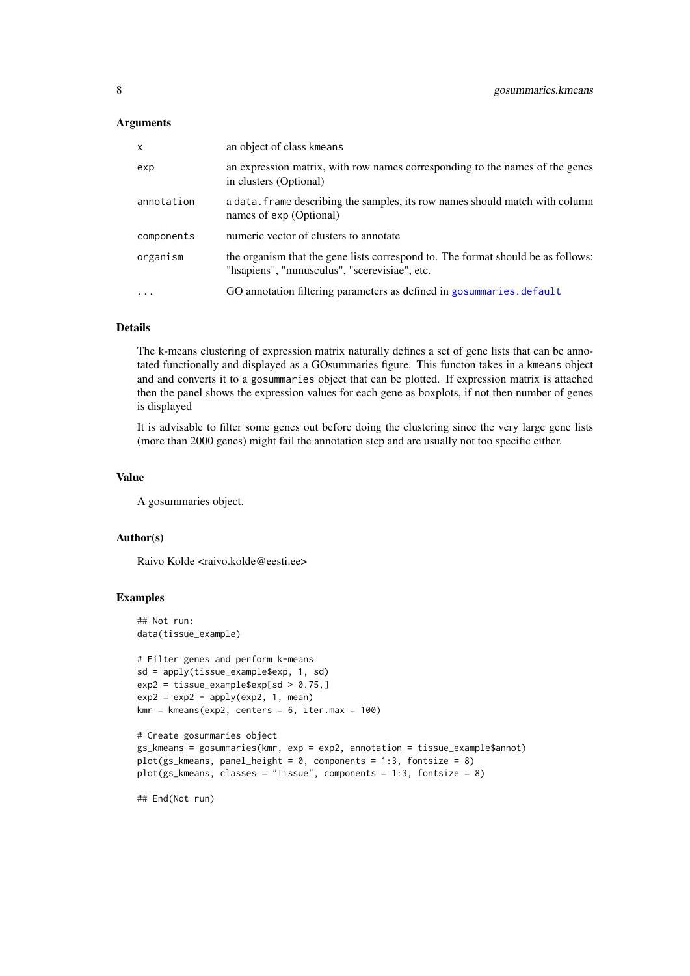#### <span id="page-7-0"></span>Arguments

| $\mathsf{x}$ | an object of class kmeans                                                                                                        |
|--------------|----------------------------------------------------------------------------------------------------------------------------------|
| exp          | an expression matrix, with row names corresponding to the names of the genes<br>in clusters (Optional)                           |
| annotation   | a data. Frame describing the samples, its row names should match with column<br>names of exp (Optional)                          |
| components   | numeric vector of clusters to annotate                                                                                           |
| organism     | the organism that the gene lists correspond to. The format should be as follows:<br>"hsapiens", "mmusculus", "scerevisiae", etc. |
| $\cdots$     | GO annotation filtering parameters as defined in gosummaries. default                                                            |

## Details

The k-means clustering of expression matrix naturally defines a set of gene lists that can be annotated functionally and displayed as a GOsummaries figure. This functon takes in a kmeans object and and converts it to a gosummaries object that can be plotted. If expression matrix is attached then the panel shows the expression values for each gene as boxplots, if not then number of genes is displayed

It is advisable to filter some genes out before doing the clustering since the very large gene lists (more than 2000 genes) might fail the annotation step and are usually not too specific either.

#### Value

A gosummaries object.

#### Author(s)

Raivo Kolde <raivo.kolde@eesti.ee>

#### Examples

```
## Not run:
data(tissue_example)
# Filter genes and perform k-means
sd = apply(tissue_example$exp, 1, sd)
exp2 = tissue_example$exp[sd > 0.75,]
exp2 = exp2 - apply(exp2, 1, mean)kmr = kmeans(exp2, centers = 6, iter.max = 100)
# Create gosummaries object
gs_kmeans = gosummaries(kmr, exp = exp2, annotation = tissue_example$annot)
plot(gs_kmeans, panel_height = 0, components = 1:3, fontsize = 8)
plot(gs_kmeans, classes = "Tissue", components = 1:3, fontsize = 8)## End(Not run)
```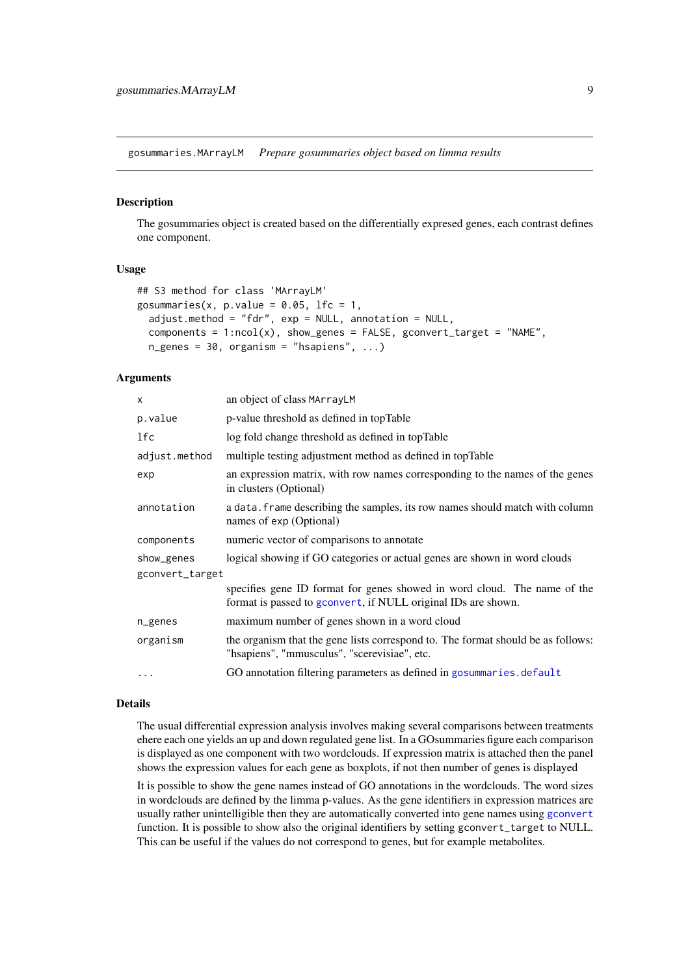<span id="page-8-1"></span><span id="page-8-0"></span>gosummaries.MArrayLM *Prepare gosummaries object based on limma results*

## Description

The gosummaries object is created based on the differentially expresed genes, each contrast defines one component.

## Usage

```
## S3 method for class 'MArrayLM'
gosummaries(x, p.value = 0.05, lfc = 1,
  adjust.method = "fdr", exp = NULL, annotation = NULL,
  components = 1:ncol(x), show\_genes = FALSE, geometry\_target = "NAME",n_genes = 30, organism = "hsapiens", ...)
```
## Arguments

| x               | an object of class MArrayLM                                                                                                               |
|-----------------|-------------------------------------------------------------------------------------------------------------------------------------------|
| p.value         | p-value threshold as defined in topTable                                                                                                  |
| lfc             | log fold change threshold as defined in topTable                                                                                          |
| adjust.method   | multiple testing adjustment method as defined in topTable                                                                                 |
| exp             | an expression matrix, with row names corresponding to the names of the genes<br>in clusters (Optional)                                    |
| annotation      | a data. frame describing the samples, its row names should match with column<br>names of exp (Optional)                                   |
| components      | numeric vector of comparisons to annotate                                                                                                 |
| show_genes      | logical showing if GO categories or actual genes are shown in word clouds                                                                 |
| gconvert_target |                                                                                                                                           |
|                 | specifies gene ID format for genes showed in word cloud. The name of the<br>format is passed to gconvert, if NULL original IDs are shown. |
| n_genes         | maximum number of genes shown in a word cloud                                                                                             |
| organism        | the organism that the gene lists correspond to. The format should be as follows:<br>"hsapiens", "mmusculus", "scerevisiae", etc.          |
| $\ddots$        | GO annotation filtering parameters as defined in gosummaries.default                                                                      |

## Details

The usual differential expression analysis involves making several comparisons between treatments ehere each one yields an up and down regulated gene list. In a GOsummaries figure each comparison is displayed as one component with two wordclouds. If expression matrix is attached then the panel shows the expression values for each gene as boxplots, if not then number of genes is displayed

It is possible to show the gene names instead of GO annotations in the wordclouds. The word sizes in wordclouds are defined by the limma p-values. As the gene identifiers in expression matrices are usually rather unintelligible then they are automatically converted into gene names using [gconvert](#page-0-0) function. It is possible to show also the original identifiers by setting gconvert\_target to NULL. This can be useful if the values do not correspond to genes, but for example metabolites.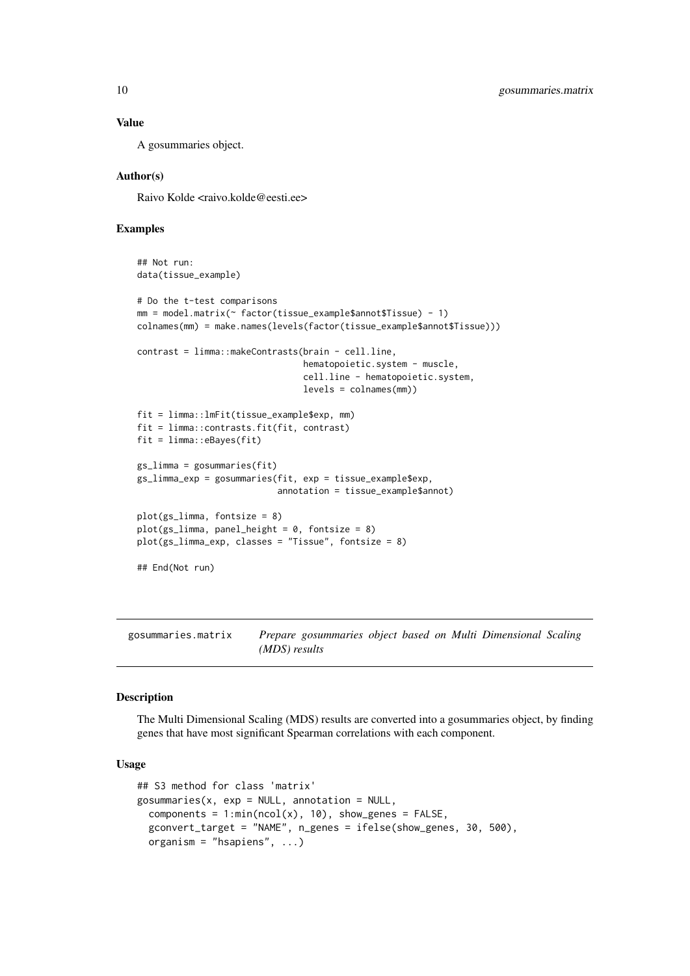#### Value

A gosummaries object.

#### Author(s)

Raivo Kolde <raivo.kolde@eesti.ee>

#### Examples

```
## Not run:
data(tissue_example)
# Do the t-test comparisons
mm = model.matrix(~ factor(tissue_example$annot$Tissue) - 1)
colnames(mm) = make.names(levels(factor(tissue_example$annot$Tissue)))
contrast = limma::makeContrasts(brain - cell.line,
                                hematopoietic.system - muscle,
                                cell.line - hematopoietic.system,
                                levels = colnames(mm))
fit = limma::lmFit(tissue_example$exp, mm)
fit = limma::contrasts.fit(fit, contrast)
fit = limma::eBayes(fit)
gs_limma = gosummaries(fit)
gs_limma_exp = gosummaries(fit, exp = tissue_example$exp,
                           annotation = tissue_example$annot)
plot(gs_limma, fontsize = 8)
plot(gs_limma, panel_height = 0, fontsize = 8)
plot(gs_limma_exp, classes = "Tissue", fontsize = 8)
## End(Not run)
```
gosummaries.matrix *Prepare gosummaries object based on Multi Dimensional Scaling (MDS) results*

## Description

The Multi Dimensional Scaling (MDS) results are converted into a gosummaries object, by finding genes that have most significant Spearman correlations with each component.

```
## S3 method for class 'matrix'
gosummaries(x, exp = NULL, annotation = NULL,
  components = 1:min(ncol(x), 10), show_genes = FALSE,
  gconvert_target = "NAME", n_genes = ifelse(show_genes, 30, 500),
 organism = "hsapiens", ...)
```
<span id="page-9-0"></span>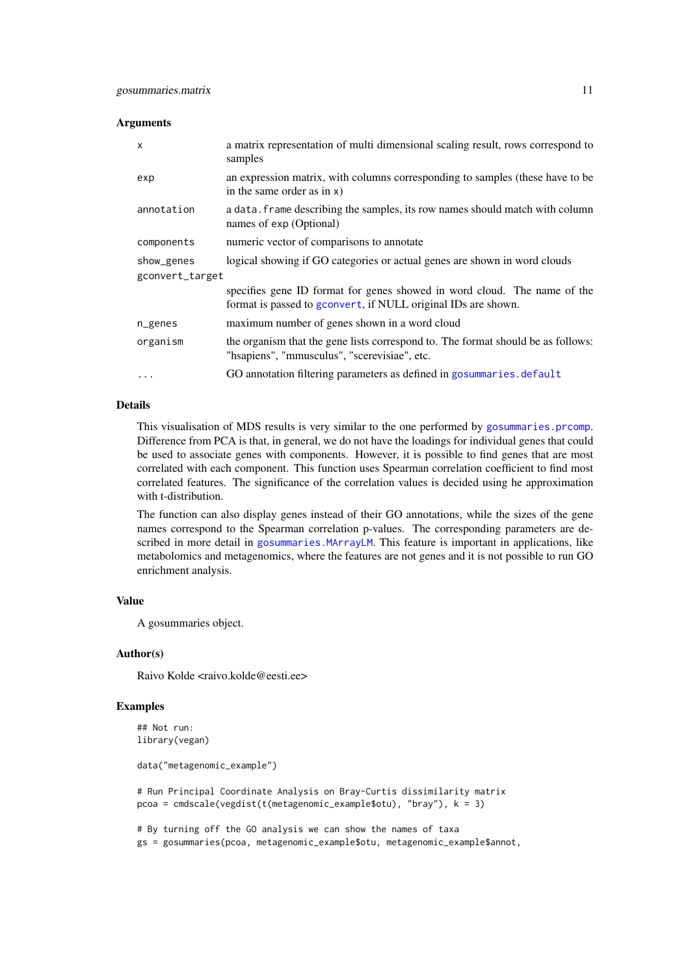#### <span id="page-10-0"></span>Arguments

| $\mathsf{x}$    | a matrix representation of multi dimensional scaling result, rows correspond to<br>samples                                                |
|-----------------|-------------------------------------------------------------------------------------------------------------------------------------------|
| exp             | an expression matrix, with columns corresponding to samples (these have to be<br>in the same order as in $x$ )                            |
| annotation      | a data. frame describing the samples, its row names should match with column<br>names of exp (Optional)                                   |
| components      | numeric vector of comparisons to annotate                                                                                                 |
| show_genes      | logical showing if GO categories or actual genes are shown in word clouds                                                                 |
| gconvert_target |                                                                                                                                           |
|                 | specifies gene ID format for genes showed in word cloud. The name of the<br>format is passed to gconvert, if NULL original IDs are shown. |
| n_genes         | maximum number of genes shown in a word cloud                                                                                             |
| organism        | the organism that the gene lists correspond to. The format should be as follows:<br>"hsapiens", "mmusculus", "scerevisiae", etc.          |
|                 | GO annotation filtering parameters as defined in gosummaries.default                                                                      |

## Details

This visualisation of MDS results is very similar to the one performed by [gosummaries.prcomp](#page-11-1). Difference from PCA is that, in general, we do not have the loadings for individual genes that could be used to associate genes with components. However, it is possible to find genes that are most correlated with each component. This function uses Spearman correlation coefficient to find most correlated features. The significance of the correlation values is decided using he approximation with t-distribution.

The function can also display genes instead of their GO annotations, while the sizes of the gene names correspond to the Spearman correlation p-values. The corresponding parameters are described in more detail in [gosummaries.MArrayLM](#page-8-1). This feature is important in applications, like metabolomics and metagenomics, where the features are not genes and it is not possible to run GO enrichment analysis.

## Value

A gosummaries object.

## Author(s)

Raivo Kolde <raivo.kolde@eesti.ee>

## Examples

```
## Not run:
library(vegan)
data("metagenomic_example")
# Run Principal Coordinate Analysis on Bray-Curtis dissimilarity matrix
pcoa = cmdscale(vegdist(t(metagenomic_example$otu), "bray"), k = 3)
```
# By turning off the GO analysis we can show the names of taxa gs = gosummaries(pcoa, metagenomic\_example\$otu, metagenomic\_example\$annot,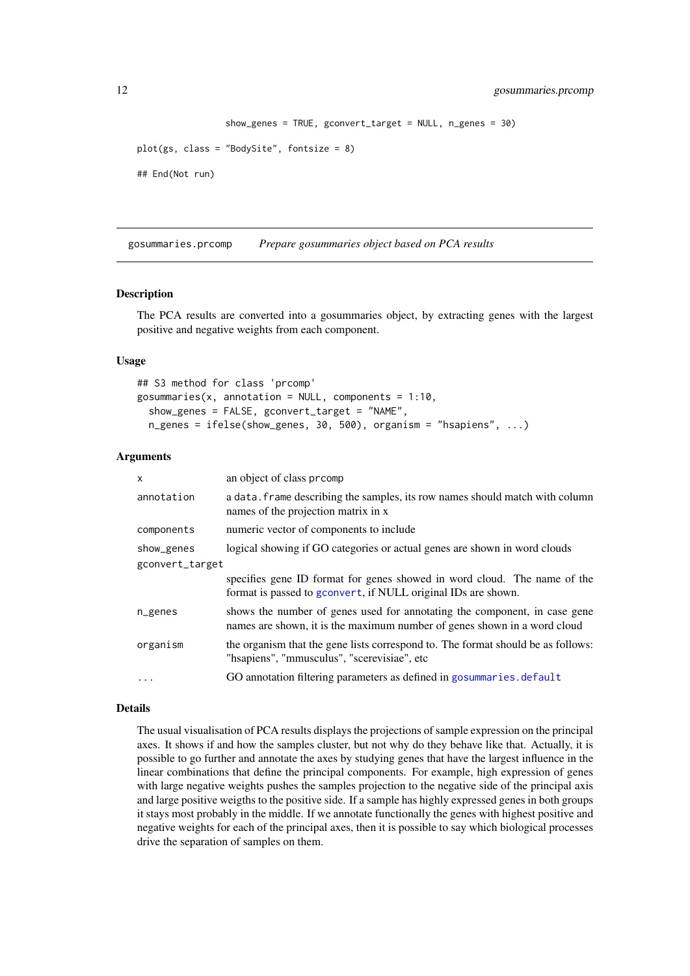```
show_genes = TRUE, gconvert_target = NULL, n_genes = 30)
```

```
plot(gs, class = "BodySite", fontsize = 8)
```
## End(Not run)

<span id="page-11-1"></span>gosummaries.prcomp *Prepare gosummaries object based on PCA results*

## Description

The PCA results are converted into a gosummaries object, by extracting genes with the largest positive and negative weights from each component.

## Usage

```
## S3 method for class 'prcomp'
gosummaries(x, annotation = NULL, components = 1:10,
  show_genes = FALSE, gconvert_target = "NAME",
 n_genes = ifelse(show_genes, 30, 500), organism = "hsapiens", ...)
```
## Arguments

| $\mathsf{x}$    | an object of class promp                                                                                                                              |
|-----------------|-------------------------------------------------------------------------------------------------------------------------------------------------------|
| annotation      | a data. Frame describing the samples, its row names should match with column<br>names of the projection matrix in x                                   |
| components      | numeric vector of components to include                                                                                                               |
| show_genes      | logical showing if GO categories or actual genes are shown in word clouds                                                                             |
| gconvert_target |                                                                                                                                                       |
|                 | specifies gene ID format for genes showed in word cloud. The name of the<br>format is passed to gconvert, if NULL original IDs are shown.             |
| n_genes         | shows the number of genes used for annotating the component, in case gene<br>names are shown, it is the maximum number of genes shown in a word cloud |
| organism        | the organism that the gene lists correspond to. The format should be as follows:<br>"hsapiens", "mmusculus", "scerevisiae", etc                       |
| $\cdots$        | GO annotation filtering parameters as defined in gosummaries. default                                                                                 |

#### Details

The usual visualisation of PCA results displays the projections of sample expression on the principal axes. It shows if and how the samples cluster, but not why do they behave like that. Actually, it is possible to go further and annotate the axes by studying genes that have the largest influence in the linear combinations that define the principal components. For example, high expression of genes with large negative weights pushes the samples projection to the negative side of the principal axis and large positive weigths to the positive side. If a sample has highly expressed genes in both groups it stays most probably in the middle. If we annotate functionally the genes with highest positive and negative weights for each of the principal axes, then it is possible to say which biological processes drive the separation of samples on them.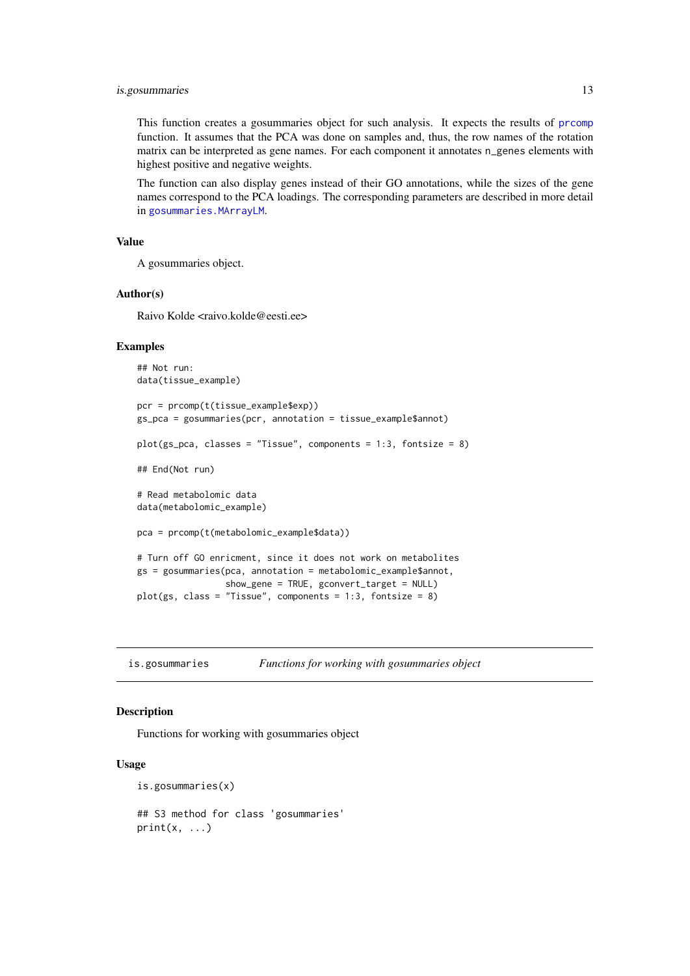#### <span id="page-12-0"></span>is.gosummaries 13

This function creates a gosummaries object for such analysis. It expects the results of [prcomp](#page-0-0) function. It assumes that the PCA was done on samples and, thus, the row names of the rotation matrix can be interpreted as gene names. For each component it annotates n\_genes elements with highest positive and negative weights.

The function can also display genes instead of their GO annotations, while the sizes of the gene names correspond to the PCA loadings. The corresponding parameters are described in more detail in [gosummaries.MArrayLM](#page-8-1).

## Value

A gosummaries object.

#### Author(s)

Raivo Kolde <raivo.kolde@eesti.ee>

#### Examples

```
## Not run:
data(tissue_example)
pcr = prcomp(t(tissue_example$exp))
gs_pca = gosummaries(pcr, annotation = tissue_example$annot)
plot(gs_pca, classes = "Tissue", components = 1:3, fontsize = 8)
## End(Not run)
# Read metabolomic data
data(metabolomic_example)
pca = prcomp(t(metabolomic_example$data))
# Turn off GO enricment, since it does not work on metabolites
gs = gosummaries(pca, annotation = metabolomic_example$annot,
                 show_gene = TRUE, gconvert_target = NULL)
plot(gs, class = "Tissue", components = 1:3, fontsize = 8)
```
is.gosummaries *Functions for working with gosummaries object*

#### <span id="page-12-1"></span>Description

Functions for working with gosummaries object

```
is.gosummaries(x)
## S3 method for class 'gosummaries'
print(x, \ldots)
```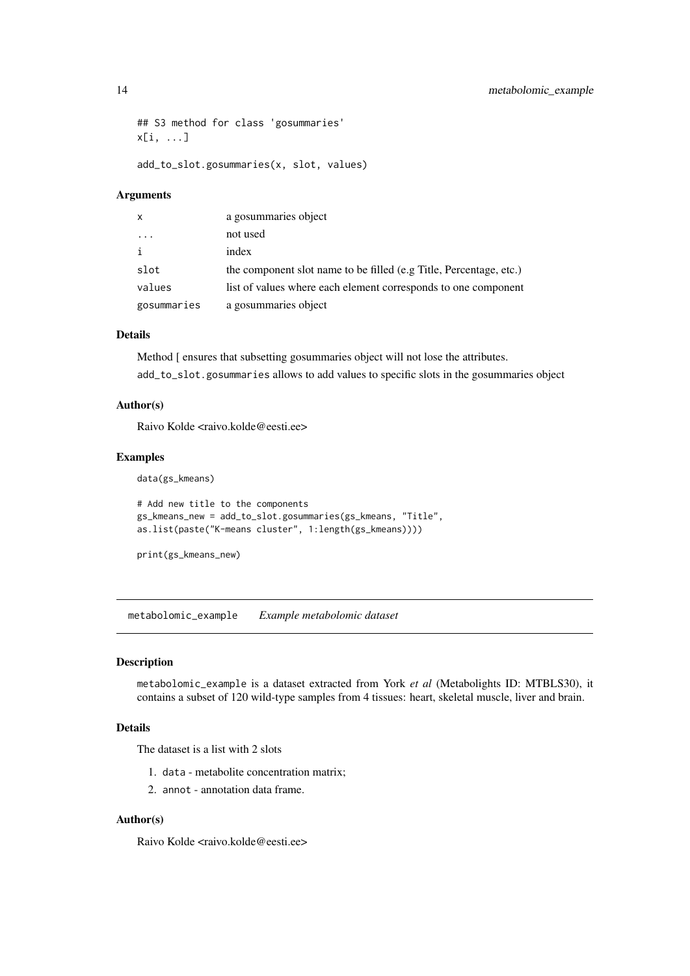```
## S3 method for class 'gosummaries'
x[i, ...]
```
add\_to\_slot.gosummaries(x, slot, values)

## Arguments

| $\mathsf{x}$            | a gosummaries object                                               |
|-------------------------|--------------------------------------------------------------------|
| $\cdot$ $\cdot$ $\cdot$ | not used                                                           |
| i                       | index                                                              |
| slot                    | the component slot name to be filled (e.g Title, Percentage, etc.) |
| values                  | list of values where each element corresponds to one component     |
| gosummaries             | a gosummaries object                                               |

## Details

Method [ ensures that subsetting gosummaries object will not lose the attributes. add\_to\_slot.gosummaries allows to add values to specific slots in the gosummaries object

## Author(s)

Raivo Kolde <raivo.kolde@eesti.ee>

#### Examples

```
data(gs_kmeans)
```

```
# Add new title to the components
gs_kmeans_new = add_to_slot.gosummaries(gs_kmeans, "Title",
as.list(paste("K-means cluster", 1:length(gs_kmeans))))
```
print(gs\_kmeans\_new)

metabolomic\_example *Example metabolomic dataset*

#### Description

metabolomic\_example is a dataset extracted from York *et al* (Metabolights ID: MTBLS30), it contains a subset of 120 wild-type samples from 4 tissues: heart, skeletal muscle, liver and brain.

## Details

The dataset is a list with 2 slots

- 1. data metabolite concentration matrix;
- 2. annot annotation data frame.

## Author(s)

Raivo Kolde <raivo.kolde@eesti.ee>

<span id="page-13-0"></span>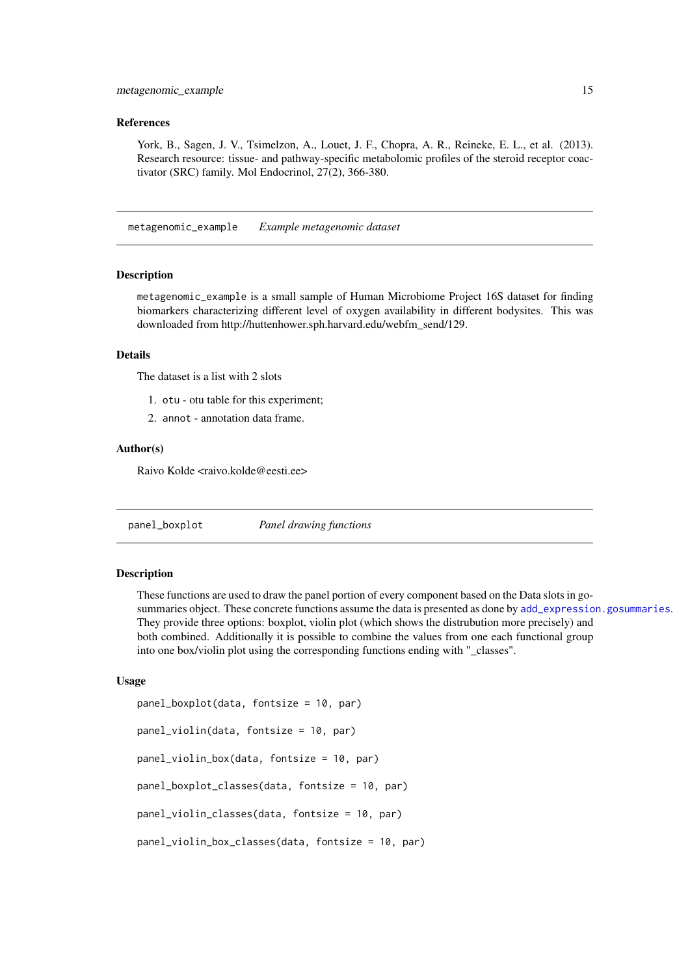#### <span id="page-14-0"></span>References

York, B., Sagen, J. V., Tsimelzon, A., Louet, J. F., Chopra, A. R., Reineke, E. L., et al. (2013). Research resource: tissue- and pathway-specific metabolomic profiles of the steroid receptor coactivator (SRC) family. Mol Endocrinol, 27(2), 366-380.

metagenomic\_example *Example metagenomic dataset*

#### Description

metagenomic\_example is a small sample of Human Microbiome Project 16S dataset for finding biomarkers characterizing different level of oxygen availability in different bodysites. This was downloaded from http://huttenhower.sph.harvard.edu/webfm\_send/129.

## Details

The dataset is a list with 2 slots

- 1. otu otu table for this experiment;
- 2. annot annotation data frame.

## Author(s)

Raivo Kolde <raivo.kolde@eesti.ee>

<span id="page-14-1"></span>panel\_boxplot *Panel drawing functions*

#### Description

These functions are used to draw the panel portion of every component based on the Data slots in gosummaries object. These concrete functions assume the data is presented as done by [add\\_expression.gosummaries](#page-1-1). They provide three options: boxplot, violin plot (which shows the distrubution more precisely) and both combined. Additionally it is possible to combine the values from one each functional group into one box/violin plot using the corresponding functions ending with "\_classes".

```
panel_boxplot(data, fontsize = 10, par)
panel_violin(data, fontsize = 10, par)
panel_violin_box(data, fontsize = 10, par)
panel_boxplot_classes(data, fontsize = 10, par)
panel_violin_classes(data, fontsize = 10, par)
panel_violin_box_classes(data, fontsize = 10, par)
```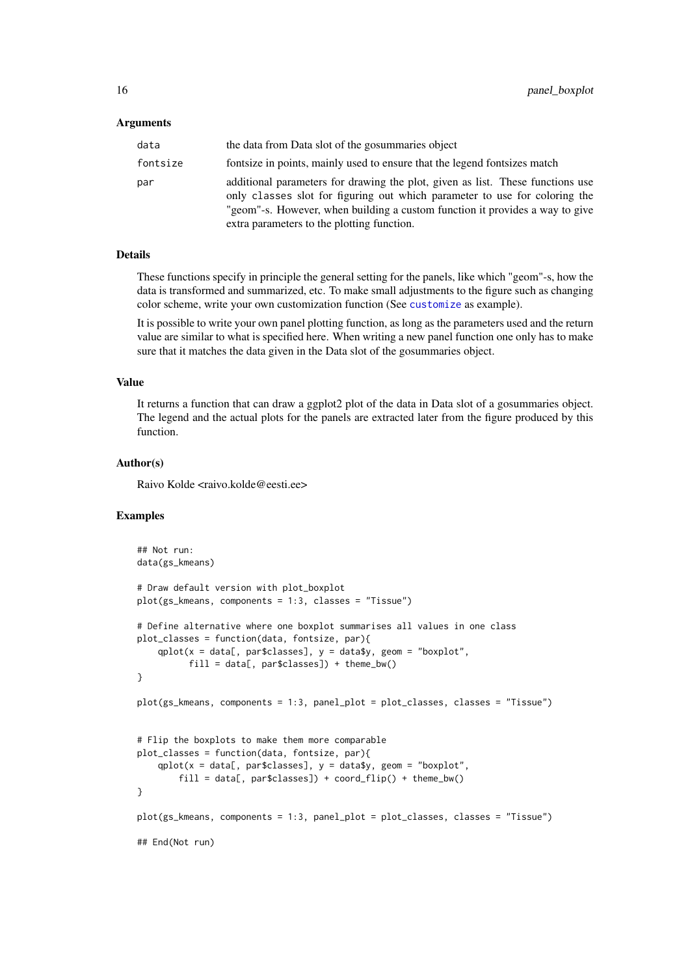#### <span id="page-15-0"></span>Arguments

| data     | the data from Data slot of the gosummaries object                                                                                                                                                                                                                                          |
|----------|--------------------------------------------------------------------------------------------------------------------------------------------------------------------------------------------------------------------------------------------------------------------------------------------|
| fontsize | fontsize in points, mainly used to ensure that the legend fontsizes match                                                                                                                                                                                                                  |
| par      | additional parameters for drawing the plot, given as list. These functions use<br>only classes slot for figuring out which parameter to use for coloring the<br>"geom"-s. However, when building a custom function it provides a way to give<br>extra parameters to the plotting function. |

## Details

These functions specify in principle the general setting for the panels, like which "geom"-s, how the data is transformed and summarized, etc. To make small adjustments to the figure such as changing color scheme, write your own customization function (See [customize](#page-2-1) as example).

It is possible to write your own panel plotting function, as long as the parameters used and the return value are similar to what is specified here. When writing a new panel function one only has to make sure that it matches the data given in the Data slot of the gosummaries object.

#### Value

It returns a function that can draw a ggplot2 plot of the data in Data slot of a gosummaries object. The legend and the actual plots for the panels are extracted later from the figure produced by this function.

## Author(s)

Raivo Kolde <raivo.kolde@eesti.ee>

#### Examples

```
## Not run:
data(gs_kmeans)
# Draw default version with plot_boxplot
plot(gs_kmeans, components = 1:3, classes = "Tissue")
# Define alternative where one boxplot summarises all values in one class
plot_classes = function(data, fontsize, par){
    qplot(x = data[, par$classes], y = data$y, geom = "boxplot",
          fill = data[, par$classes]) + theme_bw()
}
plot(gs_kmeans, components = 1:3, panel_plot = plot_classes, classes = "Tissue")
# Flip the boxplots to make them more comparable
plot_classes = function(data, fontsize, par){
    qplot(x = data[, par$classes], y = data$y, geom = "boxplot",
        fill = data[, par$classes]) + coord_flip() + theme_bw()
}
plot(gs_kmeans, components = 1:3, panel_plot = plot_classes, classes = "Tissue")
## End(Not run)
```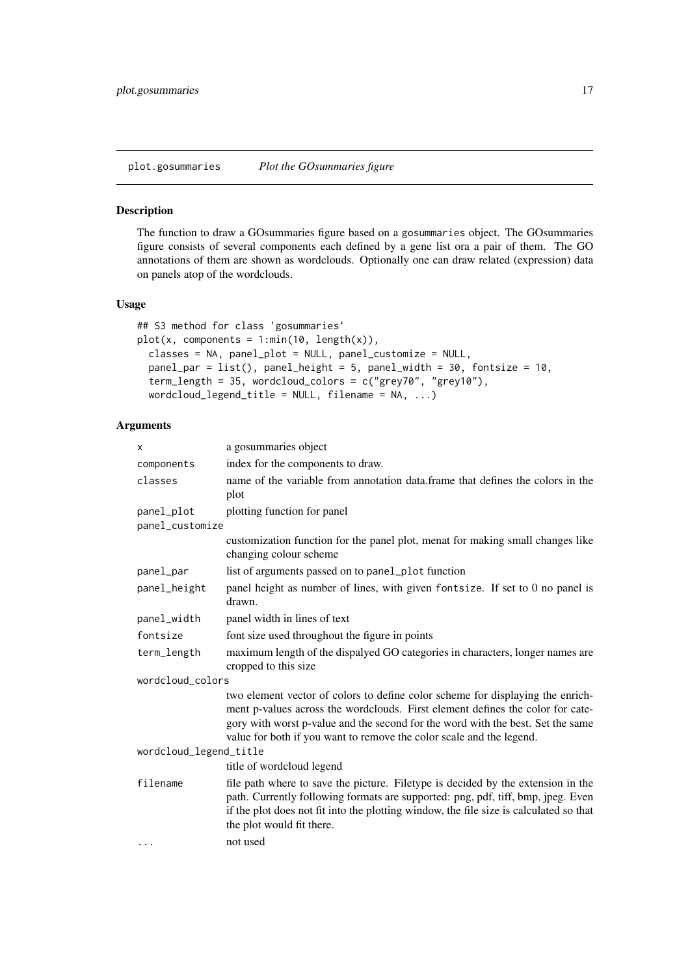## <span id="page-16-1"></span><span id="page-16-0"></span>Description

The function to draw a GOsummaries figure based on a gosummaries object. The GOsummaries figure consists of several components each defined by a gene list ora a pair of them. The GO annotations of them are shown as wordclouds. Optionally one can draw related (expression) data on panels atop of the wordclouds.

## Usage

```
## S3 method for class 'gosummaries'
plot(x, components = 1:min(10, length(x)),classes = NA, panel_plot = NULL, panel_customize = NULL,
 panel_par = list(), panel_height = 5, panel_width = 30, fontsize = 10,
  term_length = 35, wordcloud_colors = c("grey70", "grey10"),
 wordcloud\_legend\_title = NULL, filename = NA, ...)
```
## Arguments

| x                             | a gosummaries object                                                                                                                                                                                                                                                                                                        |
|-------------------------------|-----------------------------------------------------------------------------------------------------------------------------------------------------------------------------------------------------------------------------------------------------------------------------------------------------------------------------|
| components                    | index for the components to draw.                                                                                                                                                                                                                                                                                           |
| classes                       | name of the variable from annotation data.frame that defines the colors in the<br>plot                                                                                                                                                                                                                                      |
| panel_plot<br>panel_customize | plotting function for panel                                                                                                                                                                                                                                                                                                 |
|                               | customization function for the panel plot, menat for making small changes like<br>changing colour scheme                                                                                                                                                                                                                    |
| panel_par                     | list of arguments passed on to panel_plot function                                                                                                                                                                                                                                                                          |
| panel_height                  | panel height as number of lines, with given fontsize. If set to 0 no panel is<br>drawn.                                                                                                                                                                                                                                     |
| panel_width                   | panel width in lines of text                                                                                                                                                                                                                                                                                                |
| fontsize                      | font size used throughout the figure in points                                                                                                                                                                                                                                                                              |
| term_length                   | maximum length of the dispalyed GO categories in characters, longer names are<br>cropped to this size                                                                                                                                                                                                                       |
| wordcloud_colors              |                                                                                                                                                                                                                                                                                                                             |
|                               | two element vector of colors to define color scheme for displaying the enrich-<br>ment p-values across the wordclouds. First element defines the color for cate-<br>gory with worst p-value and the second for the word with the best. Set the same<br>value for both if you want to remove the color scale and the legend. |
| wordcloud_legend_title        |                                                                                                                                                                                                                                                                                                                             |
|                               | title of wordcloud legend                                                                                                                                                                                                                                                                                                   |
| filename                      | file path where to save the picture. Filetype is decided by the extension in the<br>path. Currently following formats are supported: png, pdf, tiff, bmp, jpeg. Even<br>if the plot does not fit into the plotting window, the file size is calculated so that<br>the plot would fit there.                                 |
| .                             | not used                                                                                                                                                                                                                                                                                                                    |
|                               |                                                                                                                                                                                                                                                                                                                             |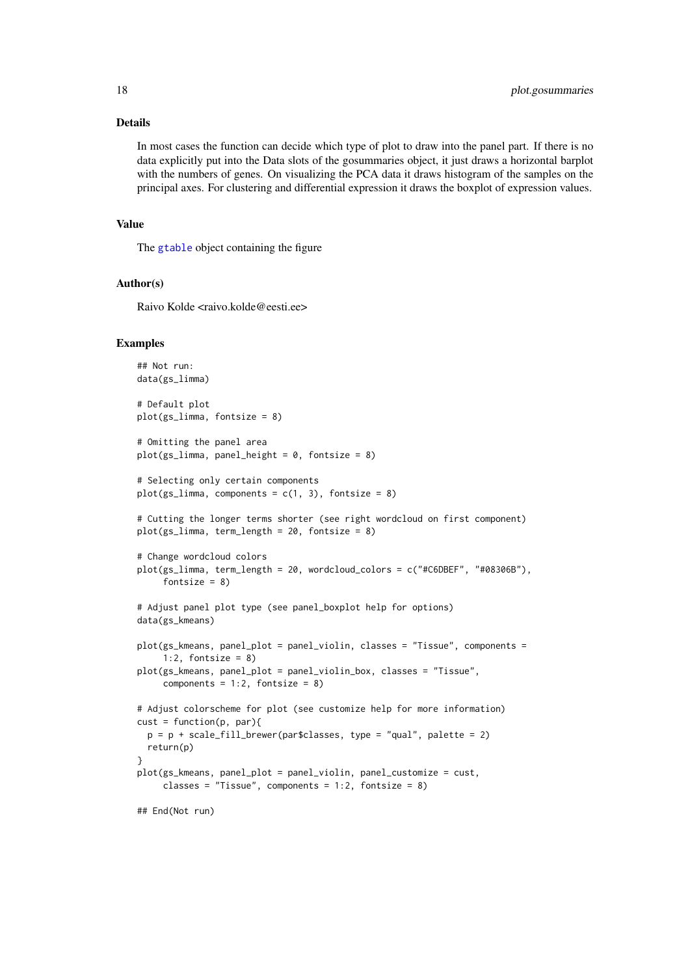#### Details

In most cases the function can decide which type of plot to draw into the panel part. If there is no data explicitly put into the Data slots of the gosummaries object, it just draws a horizontal barplot with the numbers of genes. On visualizing the PCA data it draws histogram of the samples on the principal axes. For clustering and differential expression it draws the boxplot of expression values.

## Value

The [gtable](#page-0-0) object containing the figure

## Author(s)

Raivo Kolde <raivo.kolde@eesti.ee>

#### Examples

```
## Not run:
data(gs_limma)
# Default plot
plot(gs_limma, fontsize = 8)
# Omitting the panel area
plot(gs_limma, panel_height = 0, fontsize = 8)
# Selecting only certain components
plot(gs_limma, components = c(1, 3), fontsize = 8)
# Cutting the longer terms shorter (see right wordcloud on first component)
plot(gs_limma, term_length = 20, fontsize = 8)
# Change wordcloud colors
plot(gs_limma, term_length = 20, wordcloud_colors = c("#C6DBEF", "#08306B"),
     fontsize = 8)
# Adjust panel plot type (see panel_boxplot help for options)
data(gs_kmeans)
plot(gs_kmeans, panel_plot = panel_violin, classes = "Tissue", components =
     1:2, fontsize = 8)
plot(gs_kmeans, panel_plot = panel_violin_box, classes = "Tissue",
     components = 1:2, fontsize = 8)
# Adjust colorscheme for plot (see customize help for more information)
cust = function(p, par)p = p + scale_fill_brewer(par$classes, type = "qual", platete = 2)return(p)
}
plot(gs_kmeans, panel_plot = panel_violin, panel_customize = cust,
     classes = "Tissue", components = 1:2, fontsize = 8)
## End(Not run)
```
<span id="page-17-0"></span>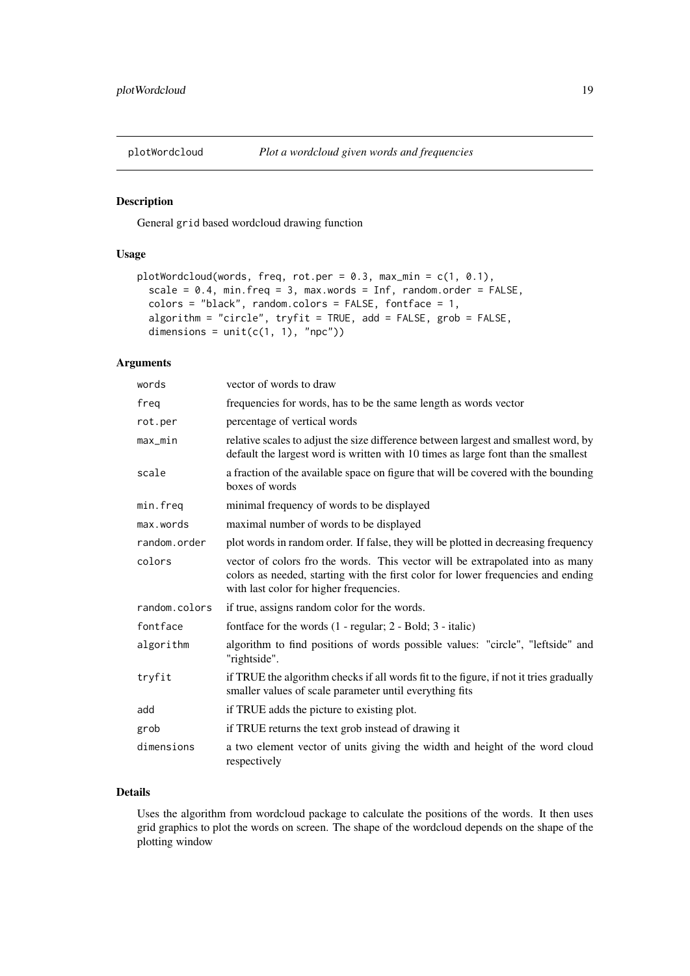<span id="page-18-1"></span><span id="page-18-0"></span>

## Description

General grid based wordcloud drawing function

## Usage

```
plotWordcloud(words, freq, rot.per = 0.3, max_min = c(1, 0.1),
 scale = 0.4, min.freq = 3, max.words = Inf, random.order = FALSE,
 colors = "black", random.colors = FALSE, fontface = 1,algorithm = "circle", tryfit = TRUE, add = FALSE, grob = FALSE,
 dimensions = unit(c(1, 1), 'npc"))
```
## Arguments

| words         | vector of words to draw                                                                                                                                                                                      |
|---------------|--------------------------------------------------------------------------------------------------------------------------------------------------------------------------------------------------------------|
| freq          | frequencies for words, has to be the same length as words vector                                                                                                                                             |
| rot.per       | percentage of vertical words                                                                                                                                                                                 |
| $max\_min$    | relative scales to adjust the size difference between largest and smallest word, by<br>default the largest word is written with 10 times as large font than the smallest                                     |
| scale         | a fraction of the available space on figure that will be covered with the bounding<br>boxes of words                                                                                                         |
| min.freq      | minimal frequency of words to be displayed                                                                                                                                                                   |
| max.words     | maximal number of words to be displayed                                                                                                                                                                      |
| random.order  | plot words in random order. If false, they will be plotted in decreasing frequency                                                                                                                           |
| colors        | vector of colors fro the words. This vector will be extrapolated into as many<br>colors as needed, starting with the first color for lower frequencies and ending<br>with last color for higher frequencies. |
| random.colors | if true, assigns random color for the words.                                                                                                                                                                 |
| fontface      | fontface for the words $(1 - \text{regular}; 2 - \text{Bold}; 3 - \text{italic})$                                                                                                                            |
| algorithm     | algorithm to find positions of words possible values: "circle", "leftside" and<br>"rightside".                                                                                                               |
| tryfit        | if TRUE the algorithm checks if all words fit to the figure, if not it tries gradually<br>smaller values of scale parameter until everything fits                                                            |
| add           | if TRUE adds the picture to existing plot.                                                                                                                                                                   |
| grob          | if TRUE returns the text grob instead of drawing it                                                                                                                                                          |
| dimensions    | a two element vector of units giving the width and height of the word cloud<br>respectively                                                                                                                  |

## Details

Uses the algorithm from wordcloud package to calculate the positions of the words. It then uses grid graphics to plot the words on screen. The shape of the wordcloud depends on the shape of the plotting window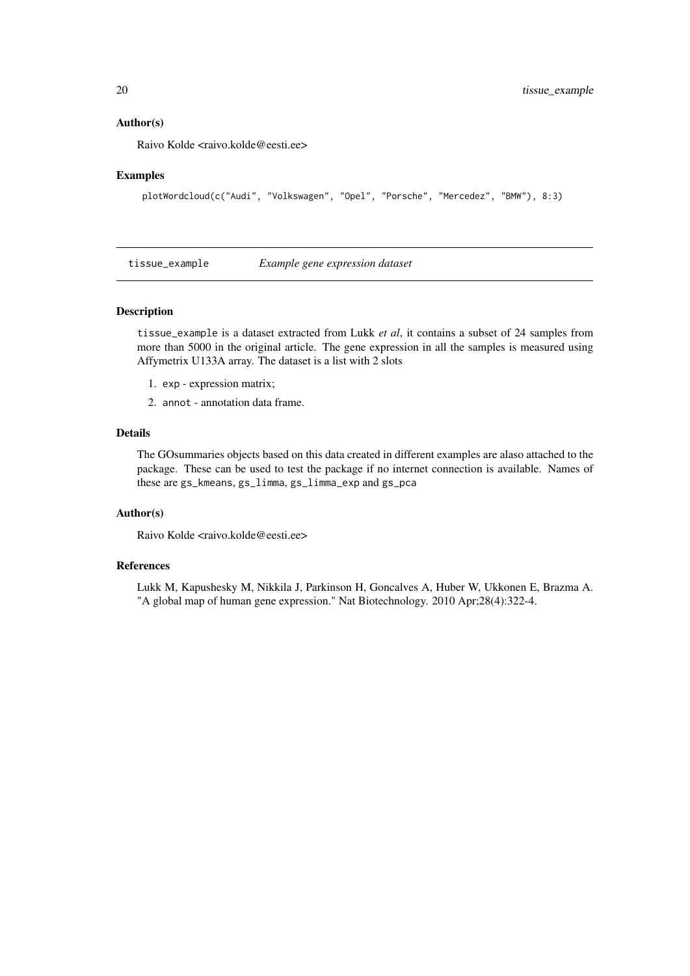#### Author(s)

Raivo Kolde <raivo.kolde@eesti.ee>

#### Examples

plotWordcloud(c("Audi", "Volkswagen", "Opel", "Porsche", "Mercedez", "BMW"), 8:3)

tissue\_example *Example gene expression dataset*

#### Description

tissue\_example is a dataset extracted from Lukk *et al*, it contains a subset of 24 samples from more than 5000 in the original article. The gene expression in all the samples is measured using Affymetrix U133A array. The dataset is a list with 2 slots

- 1. exp expression matrix;
- 2. annot annotation data frame.

## Details

The GOsummaries objects based on this data created in different examples are alaso attached to the package. These can be used to test the package if no internet connection is available. Names of these are gs\_kmeans, gs\_limma, gs\_limma\_exp and gs\_pca

## Author(s)

Raivo Kolde <raivo.kolde@eesti.ee>

#### References

Lukk M, Kapushesky M, Nikkila J, Parkinson H, Goncalves A, Huber W, Ukkonen E, Brazma A. "A global map of human gene expression." Nat Biotechnology. 2010 Apr;28(4):322-4.

<span id="page-19-0"></span>